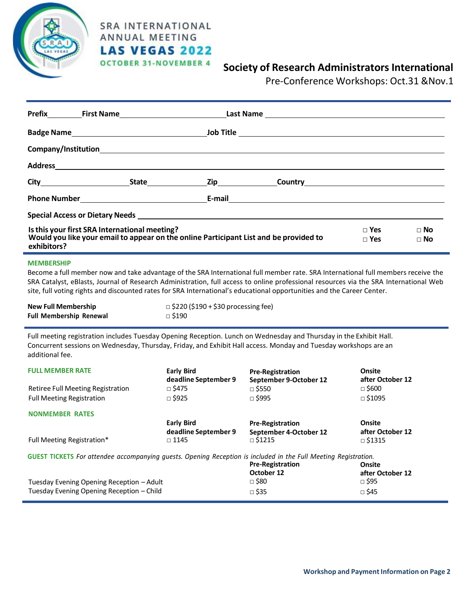

# **SRA INTERNATIONAL** ANNUAL MEETING **LAS VEGAS 2022 OCTOBER 31-NOVEMBER 4**

# **Society of Research Administrators International**

Pre-Conference Workshops: Oct.31 &Nov.1

| Special Access or Dietary Needs <b>Contract Contract Contract Contract Contract Contract Contract Contract Contract Contract Contract Contract Contract Contract Contract Contract Contract Contract Contract Contract Contract </b> |  |  |                              |                          |  |  |  |
|--------------------------------------------------------------------------------------------------------------------------------------------------------------------------------------------------------------------------------------|--|--|------------------------------|--------------------------|--|--|--|
| Is this your first SRA International meeting?<br>Would you like your email to appear on the online Participant List and be provided to<br>exhibitors?                                                                                |  |  | $\sqcap$ Yes<br>$\sqcap$ Yes | $\Box$ No<br>$\sqcap$ No |  |  |  |

### **MEMBERSHIP**

Become a full member now and take advantage of the SRA International full member rate. SRA International full members receive the SRA Catalyst, eBlasts, Journal of Research Administration, full access to online professional resources via the SRA International Web site, full voting rights and discounted rates for SRA International's educational opportunities and the Career Center.

| <b>New Full Membership</b>     | $\Box$ \$220 (\$190 + \$30 processing fee) |
|--------------------------------|--------------------------------------------|
| <b>Full Membership Renewal</b> | □ \$190                                    |

Full meeting registration includes Tuesday Opening Reception. Lunch on Wednesday and Thursday in the Exhibit Hall. Concurrent sessions on Wednesday, Thursday, Friday, and Exhibit Hall access. Monday and Tuesday workshops are an additional fee.

| <b>FULL MEMBER RATE</b>                                                                                                | <b>Early Bird</b><br>deadline September 9 | <b>Pre-Registration</b><br>September 9-October 12 | Onsite<br>after October 12 |  |  |  |  |
|------------------------------------------------------------------------------------------------------------------------|-------------------------------------------|---------------------------------------------------|----------------------------|--|--|--|--|
| Retiree Full Meeting Registration                                                                                      | $\Box$ \$475                              | $\Box$ \$550                                      | $\Box$ \$600               |  |  |  |  |
| <b>Full Meeting Registration</b>                                                                                       | $\Box$ \$925                              | $\Box$ \$995                                      | $\Box$ \$1095              |  |  |  |  |
| <b>NONMEMBER RATES</b>                                                                                                 |                                           |                                                   |                            |  |  |  |  |
|                                                                                                                        | <b>Early Bird</b>                         | <b>Pre-Registration</b>                           | Onsite                     |  |  |  |  |
|                                                                                                                        | deadline September 9                      | September 4-October 12                            | after October 12           |  |  |  |  |
| Full Meeting Registration*                                                                                             | $\Box$ 1145                               | $\Box$ \$1215                                     | $\Box$ \$1315              |  |  |  |  |
| <b>GUEST TICKETS</b> For attendee accompanying quests. Opening Reception is included in the Full Meeting Registration. |                                           |                                                   |                            |  |  |  |  |
|                                                                                                                        |                                           | <b>Pre-Registration</b>                           | Onsite                     |  |  |  |  |
|                                                                                                                        |                                           | October 12                                        | after October 12           |  |  |  |  |
| Tuesday Evening Opening Reception - Adult                                                                              |                                           | $\Box$ \$80                                       | $\Box$ \$95                |  |  |  |  |
| Tuesday Evening Opening Reception – Child                                                                              |                                           | $\Box$ \$35                                       | $\Box$ \$45                |  |  |  |  |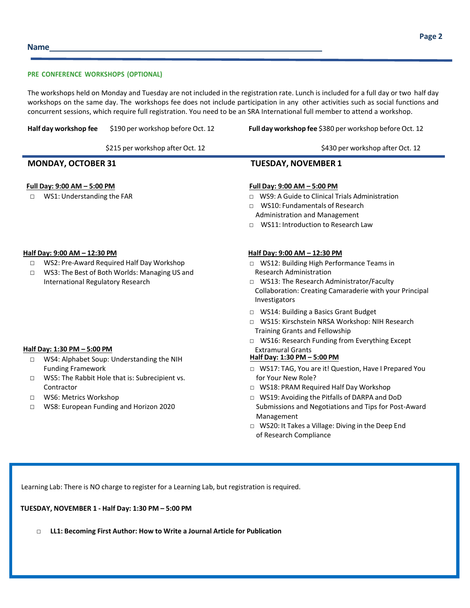The workshops held on Monday and Tuesday are not included in the registration rate. Lunch is included for a full day or two half day workshops on the same day. The workshops fee does not include participation in any other activities such as social functions and concurrent sessions, which require full registration. You need to be an SRA International full member to attend a workshop.

**Half day workshop fee** \$190 per workshop before Oct. 12 **Full day workshop fee** \$380 per workshop before Oct. 12

# **MONDAY, OCTOBER 31 TUESDAY, NOVEMBER 1**

# **Full Day: 9:00 AM – 5:00 PM Full Day: 9:00 AM – 5:00 PM**

- **□** WS1: Understanding the FAR □ WS9: A Guide to Clinical Trials Administration
	- □ WS10: Fundamentals of Research Administration and Management
	- □ WS11: Introduction to Research Law

# **Half Day: 9:00 AM – 12:30 PM Half Day: 9:00 AM – 12:30 PM**

- **□** WS2: Pre-Award Required Half Day Workshop
- **□** WS3: The Best of Both Worlds: Managing US and International Regulatory Research

- **Half Day: 1:30 PM − 5:00 PM**<br>
Fig. MS4: Alphabet Soun: Understanding the NIH **Fig. 2000 PM** Half Day: 1:30 PM − 5:00 PM □ WS4: Alphabet Soup: Understanding the NIH Funding Framework
	- **□** WS5: The Rabbit Hole that is: Subrecipient vs. Contractor
	- **□** WS6: Metrics Workshop
	- **□** WS8: European Funding and Horizon 2020

- □ WS12: Building High Performance Teams in Research Administration
- □ WS13: The Research Administrator/Faculty Collaboration: Creating Camaraderie with your Principal Investigators
- □ WS14: Building a Basics Grant Budget
- □ WS15: Kirschstein NRSA Workshop: NIH Research Training Grants and Fellowship
- □ WS16: Research Funding from Everything Except

- □ WS17: TAG, You are it! Question, Have I Prepared You for Your New Role?
- □ WS18: PRAM Required Half Day Workshop
- □ WS19: Avoiding the Pitfalls of DARPA and DoD Submissions and Negotiations and Tips for Post-Award Management
- □ WS20: It Takes a Village: Diving in the Deep End of Research Compliance

Learning Lab: There is NO charge to register for a Learning Lab, but registration is required.

# **TUESDAY, NOVEMBER 1 - Half Day: 1:30 PM – 5:00 PM**

□ **LL1: Becoming First Author: How to Write a Journal Article for Publication**

\$215 per workshop after Oct. 12 by the state of the state of the state of the state of the state of the state of the state of the state of the state of the state of the state of the state of the state of the state of the s